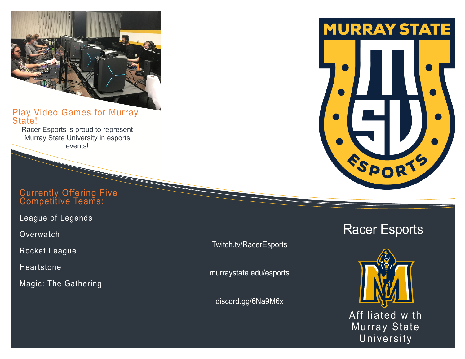## Play Video Games for Murray State!

Racer Esports is proud to represent Murray State University in esports events!

## Currently Offering Five Competitive Teams:

League of Legends

**Overwatch** 

Rocket League

Heartstone

Magic: The Gathering

Twitch.tv/RacerEsports

murraystate.edu/esports

discord.gg/6Na9M6x



# Racer Esports

Affiliated with Murray State University